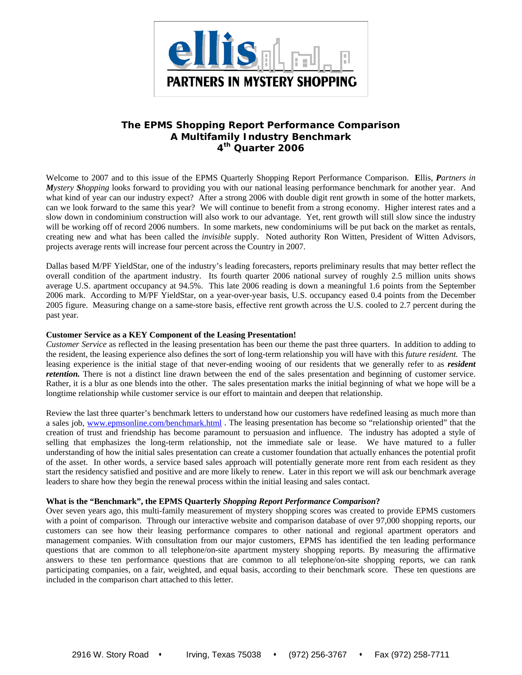

# **The EPMS** *Shopping Report Performance Comparison*  **A Multifamily Industry Benchmark 4th Quarter 2006**

Welcome to 2007 and to this issue of the EPMS Quarterly Shopping Report Performance Comparison. **E**llis, *Partners in Mystery Shopping* looks forward to providing you with our national leasing performance benchmark for another year. And what kind of year can our industry expect? After a strong 2006 with double digit rent growth in some of the hotter markets, can we look forward to the same this year? We will continue to benefit from a strong economy. Higher interest rates and a slow down in condominium construction will also work to our advantage. Yet, rent growth will still slow since the industry will be working off of record 2006 numbers. In some markets, new condominiums will be put back on the market as rentals, creating new and what has been called the *invisible* supply. Noted authority Ron Witten, President of Witten Advisors, projects average rents will increase four percent across the Country in 2007.

Dallas based M/PF YieldStar, one of the industry's leading forecasters, reports preliminary results that may better reflect the overall condition of the apartment industry. Its fourth quarter 2006 national survey of roughly 2.5 million units shows average U.S. apartment occupancy at 94.5%. This late 2006 reading is down a meaningful 1.6 points from the September 2006 mark. According to M/PF YieldStar, on a year-over-year basis, U.S. occupancy eased 0.4 points from the December 2005 figure. Measuring change on a same-store basis, effective rent growth across the U.S. cooled to 2.7 percent during the past year.

# **Customer Service as a KEY Component of the Leasing Presentation!**

*Customer Service* as reflected in the leasing presentation has been our theme the past three quarters. In addition to adding to the resident, the leasing experience also defines the sort of long-term relationship you will have with this *future resident.* The leasing experience is the initial stage of that never-ending wooing of our residents that we generally refer to as *resident retention*. There is not a distinct line drawn between the end of the sales presentation and beginning of customer service. Rather, it is a blur as one blends into the other. The sales presentation marks the initial beginning of what we hope will be a longtime relationship while customer service is our effort to maintain and deepen that relationship.

Review the last three quarter's benchmark letters to understand how our customers have redefined leasing as much more than a sales job, www.epmsonline.com/benchmark.html . The leasing presentation has become so "relationship oriented" that the creation of trust and friendship has become paramount to persuasion and influence. The industry has adopted a style of selling that emphasizes the long-term relationship, not the immediate sale or lease. We have matured to a fuller understanding of how the initial sales presentation can create a customer foundation that actually enhances the potential profit of the asset. In other words, a service based sales approach will potentially generate more rent from each resident as they start the residency satisfied and positive and are more likely to renew. Later in this report we will ask our benchmark average leaders to share how they begin the renewal process within the initial leasing and sales contact.

# **What is the "Benchmark", the EPMS Quarterly** *Shopping Report Performance Comparison***?**

Over seven years ago, this multi-family measurement of mystery shopping scores was created to provide EPMS customers with a point of comparison. Through our interactive website and comparison database of over 97,000 shopping reports, our customers can see how their leasing performance compares to other national and regional apartment operators and management companies. With consultation from our major customers, EPMS has identified the ten leading performance questions that are common to all telephone/on-site apartment mystery shopping reports. By measuring the affirmative answers to these ten performance questions that are common to all telephone/on-site shopping reports, we can rank participating companies, on a fair, weighted, and equal basis, according to their benchmark score. These ten questions are included in the comparison chart attached to this letter.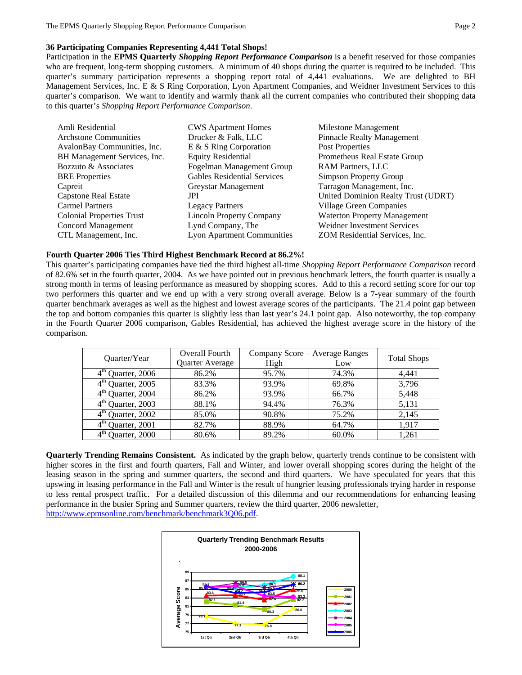# **36 Participating Companies Representing 4,441 Total Shops!**

Participation in the **EPMS Quarterly** *Shopping Report Performance Comparison* is a benefit reserved for those companies who are frequent, long-term shopping customers. A minimum of 40 shops during the quarter is required to be included. This quarter's summary participation represents a shopping report total of 4,441 evaluations. We are delighted to BH Management Services, Inc. E & S Ring Corporation, Lyon Apartment Companies, and Weidner Investment Services to this quarter's comparison.We want to identify and warmly thank all the current companies who contributed their shopping data to this quarter's *Shopping Report Performance Comparison*.

| Amli Residential                 | <b>CWS</b> Apartment Homes         | Milestone Management                |
|----------------------------------|------------------------------------|-------------------------------------|
| <b>Archstone Communities</b>     | Drucker & Falk, LLC                | <b>Pinnacle Realty Management</b>   |
| AvalonBay Communities, Inc.      | E & S Ring Corporation             | Post Properties                     |
| BH Management Services, Inc.     | <b>Equity Residential</b>          | Prometheus Real Estate Group        |
| Bozzuto & Associates             | Fogelman Management Group          | RAM Partners, LLC                   |
| <b>BRE</b> Properties            | <b>Gables Residential Services</b> | Simpson Property Group              |
| Capreit                          | Greystar Management                | Tarragon Management, Inc.           |
| Capstone Real Estate             | JPI                                | United Dominion Realty Trust (UDRT) |
| <b>Carmel Partners</b>           | <b>Legacy Partners</b>             | Village Green Companies             |
| <b>Colonial Properties Trust</b> | <b>Lincoln Property Company</b>    | <b>Waterton Property Management</b> |
| Concord Management               | Lynd Company, The                  | Weidner Investment Services         |
| CTL Management, Inc.             | <b>Lyon Apartment Communities</b>  | ZOM Residential Services, Inc.      |

## **Fourth Quarter 2006 Ties Third Highest Benchmark Record at 86.2%!**

This quarter's participating companies have tied the third highest all-time *Shopping Report Performance Comparison* record of 82.6% set in the fourth quarter, 2004. As we have pointed out in previous benchmark letters, the fourth quarter is usually a strong month in terms of leasing performance as measured by shopping scores. Add to this a record setting score for our top two performers this quarter and we end up with a very strong overall average. Below is a 7-year summary of the fourth quarter benchmark averages as well as the highest and lowest average scores of the participants. The 21.4 point gap between the top and bottom companies this quarter is slightly less than last year's 24.1 point gap. Also noteworthy, the top company in the Fourth Quarter 2006 comparison, Gables Residential, has achieved the highest average score in the history of the comparison.

| Quarter/Year                     | Overall Fourth  | Company Score – Average Ranges | <b>Total Shops</b> |       |  |
|----------------------------------|-----------------|--------------------------------|--------------------|-------|--|
|                                  | Quarter Average | High                           | Low                |       |  |
| $4th$ Quarter, 2006              | 86.2%           | 95.7%                          | 74.3%              | 4,441 |  |
| $4th$ Quarter, 2005              | 83.3%           | 93.9%                          | 69.8%              | 3,796 |  |
| $4th$ Quarter, 2004              | 86.2%           | 93.9%                          | 66.7%              | 5,448 |  |
| $4th$ Quarter, 2003              | 88.1%           | 94.4%                          | 76.3%              | 5,131 |  |
| $4th$ Quarter, 2002              | 85.0%           | 90.8%                          | 75.2%              | 2.145 |  |
| $4^{\text{tn}}$<br>Quarter, 2001 | 82.7%           | 88.9%                          | 64.7%              | 1.917 |  |
| $4^{\text{th}}$<br>Quarter, 2000 | 80.6%           | 89.2%                          | 60.0%              | 1,261 |  |

**Quarterly Trending Remains Consistent.** As indicated by the graph below, quarterly trends continue to be consistent with higher scores in the first and fourth quarters, Fall and Winter, and lower overall shopping scores during the height of the leasing season in the spring and summer quarters, the second and third quarters. We have speculated for years that this upswing in leasing performance in the Fall and Winter is the result of hungrier leasing professionals trying harder in response to less rental prospect traffic. For a detailed discussion of this dilemma and our recommendations for enhancing leasing performance in the busier Spring and Summer quarters, review the third quarter, 2006 newsletter, http://www.epmsonline.com/benchmark/benchmark3Q06.pdf.

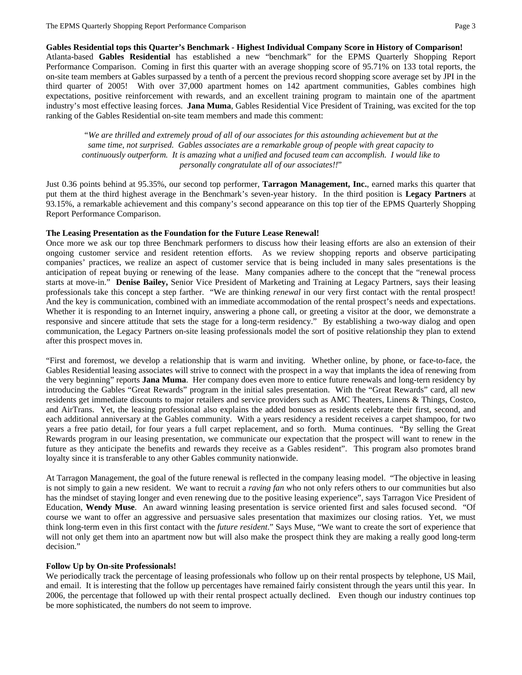**Gables Residential tops this Quarter's Benchmark - Highest Individual Company Score in History of Comparison!** 

Atlanta-based **Gables Residential** has established a new "benchmark" for the EPMS Quarterly Shopping Report Performance Comparison. Coming in first this quarter with an average shopping score of 95.71% on 133 total reports, the on-site team members at Gables surpassed by a tenth of a percent the previous record shopping score average set by JPI in the third quarter of 2005! With over 37,000 apartment homes on 142 apartment communities, Gables combines high expectations, positive reinforcement with rewards, and an excellent training program to maintain one of the apartment industry's most effective leasing forces. **Jana Muma**, Gables Residential Vice President of Training, was excited for the top ranking of the Gables Residential on-site team members and made this comment:

*"We are thrilled and extremely proud of all of our associates for this astounding achievement but at the same time, not surprised. Gables associates are a remarkable group of people with great capacity to continuously outperform. It is amazing what a unified and focused team can accomplish. I would like to personally congratulate all of our associates!!*"

Just 0.36 points behind at 95.35%, our second top performer, **Tarragon Management, Inc.**, earned marks this quarter that put them at the third highest average in the Benchmark's seven-year history. In the third position is **Legacy Partners** at 93.15%, a remarkable achievement and this company's second appearance on this top tier of the EPMS Quarterly Shopping Report Performance Comparison.

## **The Leasing Presentation as the Foundation for the Future Lease Renewal!**

Once more we ask our top three Benchmark performers to discuss how their leasing efforts are also an extension of their ongoing customer service and resident retention efforts. As we review shopping reports and observe participating companies' practices, we realize an aspect of customer service that is being included in many sales presentations is the anticipation of repeat buying or renewing of the lease. Many companies adhere to the concept that the "renewal process starts at move-in." **Denise Bailey,** Senior Vice President of Marketing and Training at Legacy Partners, says their leasing professionals take this concept a step farther. "We are thinking *renewal* in our very first contact with the rental prospect! And the key is communication, combined with an immediate accommodation of the rental prospect's needs and expectations. Whether it is responding to an Internet inquiry, answering a phone call, or greeting a visitor at the door, we demonstrate a responsive and sincere attitude that sets the stage for a long-term residency." By establishing a two-way dialog and open communication, the Legacy Partners on-site leasing professionals model the sort of positive relationship they plan to extend after this prospect moves in.

"First and foremost, we develop a relationship that is warm and inviting. Whether online, by phone, or face-to-face, the Gables Residential leasing associates will strive to connect with the prospect in a way that implants the idea of renewing from the very beginning" reports **Jana Muma**. Her company does even more to entice future renewals and long-tern residency by introducing the Gables "Great Rewards" program in the initial sales presentation. With the "Great Rewards" card, all new residents get immediate discounts to major retailers and service providers such as AMC Theaters, Linens & Things, Costco, and AirTrans. Yet, the leasing professional also explains the added bonuses as residents celebrate their first, second, and each additional anniversary at the Gables community. With a years residency a resident receives a carpet shampoo, for two years a free patio detail, for four years a full carpet replacement, and so forth. Muma continues. "By selling the Great Rewards program in our leasing presentation, we communicate our expectation that the prospect will want to renew in the future as they anticipate the benefits and rewards they receive as a Gables resident". This program also promotes brand loyalty since it is transferable to any other Gables community nationwide.

At Tarragon Management, the goal of the future renewal is reflected in the company leasing model. "The objective in leasing is not simply to gain a new resident. We want to recruit a *raving fan* who not only refers others to our communities but also has the mindset of staying longer and even renewing due to the positive leasing experience", says Tarragon Vice President of Education, **Wendy Muse**. An award winning leasing presentation is service oriented first and sales focused second. "Of course we want to offer an aggressive and persuasive sales presentation that maximizes our closing ratios. Yet, we must think long-term even in this first contact with the *future resident*." Says Muse, "We want to create the sort of experience that will not only get them into an apartment now but will also make the prospect think they are making a really good long-term decision."

## **Follow Up by On-site Professionals!**

We periodically track the percentage of leasing professionals who follow up on their rental prospects by telephone, US Mail, and email. It is interesting that the follow up percentages have remained fairly consistent through the years until this year. In 2006, the percentage that followed up with their rental prospect actually declined. Even though our industry continues top be more sophisticated, the numbers do not seem to improve.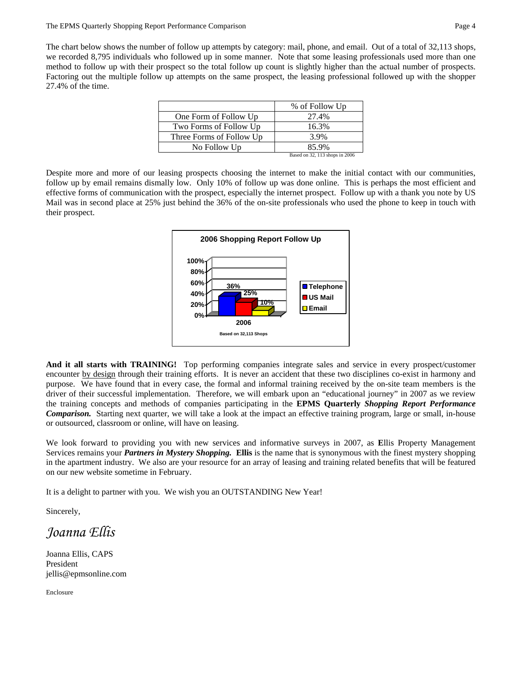The chart below shows the number of follow up attempts by category: mail, phone, and email. Out of a total of 32,113 shops, we recorded 8,795 individuals who followed up in some manner. Note that some leasing professionals used more than one method to follow up with their prospect so the total follow up count is slightly higher than the actual number of prospects. Factoring out the multiple follow up attempts on the same prospect, the leasing professional followed up with the shopper 27.4% of the time.

|                          | % of Follow Up                 |
|--------------------------|--------------------------------|
| One Form of Follow Up    | 27.4%                          |
| Two Forms of Follow Up   | 16.3%                          |
| Three Forms of Follow Up | 3.9%                           |
| No Follow Up             | 85.9%                          |
|                          | Based on 32, 113 shops in 2006 |

Despite more and more of our leasing prospects choosing the internet to make the initial contact with our communities, follow up by email remains dismally low. Only 10% of follow up was done online. This is perhaps the most efficient and effective forms of communication with the prospect, especially the internet prospect. Follow up with a thank you note by US Mail was in second place at 25% just behind the 36% of the on-site professionals who used the phone to keep in touch with their prospect.



**And it all starts with TRAINING!** Top performing companies integrate sales and service in every prospect/customer encounter by design through their training efforts. It is never an accident that these two disciplines co-exist in harmony and purpose. We have found that in every case, the formal and informal training received by the on-site team members is the driver of their successful implementation. Therefore, we will embark upon an "educational journey" in 2007 as we review the training concepts and methods of companies participating in the **EPMS Quarterly** *Shopping Report Performance Comparison.* Starting next quarter, we will take a look at the impact an effective training program, large or small, in-house or outsourced, classroom or online, will have on leasing.

We look forward to providing you with new services and informative surveys in 2007, as **E**llis Property Management Services remains your *Partners in Mystery Shopping.* **Ellis** is the name that is synonymous with the finest mystery shopping in the apartment industry. We also are your resource for an array of leasing and training related benefits that will be featured on our new website sometime in February.

It is a delight to partner with you. We wish you an OUTSTANDING New Year!

Sincerely,

*Joanna Ellis* 

Joanna Ellis, CAPS President jellis@epmsonline.com

Enclosure